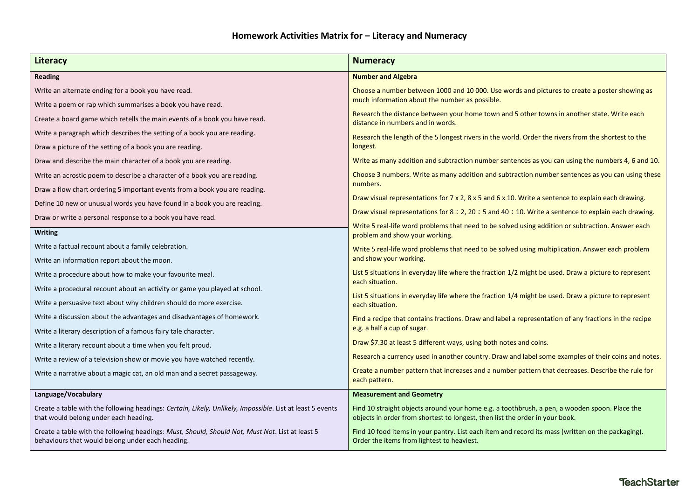| <b>Literacy</b>                                                                                                                                     | <b>Numeracy</b>                                                                                                                                                                                                                                                                     |  |
|-----------------------------------------------------------------------------------------------------------------------------------------------------|-------------------------------------------------------------------------------------------------------------------------------------------------------------------------------------------------------------------------------------------------------------------------------------|--|
| <b>Reading</b>                                                                                                                                      | <b>Number and Algebra</b>                                                                                                                                                                                                                                                           |  |
| Write an alternate ending for a book you have read.                                                                                                 | Choose a number between 1000 and 10 000. Use words and pictures to create a poster showing as<br>much information about the number as possible.<br>Research the distance between your home town and 5 other towns in another state. Write each<br>distance in numbers and in words. |  |
| Write a poem or rap which summarises a book you have read.                                                                                          |                                                                                                                                                                                                                                                                                     |  |
| Create a board game which retells the main events of a book you have read.                                                                          |                                                                                                                                                                                                                                                                                     |  |
| Write a paragraph which describes the setting of a book you are reading.                                                                            | Research the length of the 5 longest rivers in the world. Order the rivers from the shortest to the<br>longest.                                                                                                                                                                     |  |
| Draw a picture of the setting of a book you are reading.                                                                                            |                                                                                                                                                                                                                                                                                     |  |
| Draw and describe the main character of a book you are reading.                                                                                     | Write as many addition and subtraction number sentences as you can using the numbers 4, 6 and 10.                                                                                                                                                                                   |  |
| Write an acrostic poem to describe a character of a book you are reading.                                                                           | Choose 3 numbers. Write as many addition and subtraction number sentences as you can using these<br>numbers.                                                                                                                                                                        |  |
| Draw a flow chart ordering 5 important events from a book you are reading.                                                                          |                                                                                                                                                                                                                                                                                     |  |
| Define 10 new or unusual words you have found in a book you are reading.                                                                            | Draw visual representations for $7 \times 2$ , $8 \times 5$ and $6 \times 10$ . Write a sentence to explain each drawing.                                                                                                                                                           |  |
| Draw or write a personal response to a book you have read.                                                                                          | Draw visual representations for $8 \div 2$ , 20 $\div 5$ and 40 $\div 10$ . Write a sentence to explain each drawing.                                                                                                                                                               |  |
| <b>Writing</b>                                                                                                                                      | Write 5 real-life word problems that need to be solved using addition or subtraction. Answer each<br>problem and show your working.                                                                                                                                                 |  |
| Write a factual recount about a family celebration.                                                                                                 | Write 5 real-life word problems that need to be solved using multiplication. Answer each problem                                                                                                                                                                                    |  |
| Write an information report about the moon.                                                                                                         | and show your working.                                                                                                                                                                                                                                                              |  |
| Write a procedure about how to make your favourite meal.                                                                                            | List 5 situations in everyday life where the fraction 1/2 might be used. Draw a picture to represent<br>each situation.<br>List 5 situations in everyday life where the fraction 1/4 might be used. Draw a picture to represent<br>each situation.                                  |  |
| Write a procedural recount about an activity or game you played at school.                                                                          |                                                                                                                                                                                                                                                                                     |  |
| Write a persuasive text about why children should do more exercise.                                                                                 |                                                                                                                                                                                                                                                                                     |  |
| Write a discussion about the advantages and disadvantages of homework.                                                                              | Find a recipe that contains fractions. Draw and label a representation of any fractions in the recipe<br>e.g. a half a cup of sugar.                                                                                                                                                |  |
| Write a literary description of a famous fairy tale character.                                                                                      |                                                                                                                                                                                                                                                                                     |  |
| Write a literary recount about a time when you felt proud.                                                                                          | Draw \$7.30 at least 5 different ways, using both notes and coins.                                                                                                                                                                                                                  |  |
| Write a review of a television show or movie you have watched recently.                                                                             | Research a currency used in another country. Draw and label some examples of their coins and notes.                                                                                                                                                                                 |  |
| Write a narrative about a magic cat, an old man and a secret passageway.                                                                            | Create a number pattern that increases and a number pattern that decreases. Describe the rule for<br>each pattern.                                                                                                                                                                  |  |
| Language/Vocabulary                                                                                                                                 | <b>Measurement and Geometry</b>                                                                                                                                                                                                                                                     |  |
| Create a table with the following headings: Certain, Likely, Unlikely, Impossible. List at least 5 events<br>that would belong under each heading.  | Find 10 straight objects around your home e.g. a toothbrush, a pen, a wooden spoon. Place the<br>objects in order from shortest to longest, then list the order in your book.                                                                                                       |  |
| Create a table with the following headings: Must, Should, Should Not, Must Not. List at least 5<br>behaviours that would belong under each heading. | Find 10 food items in your pantry. List each item and record its mass (written on the packaging).<br>Order the items from lightest to heaviest.                                                                                                                                     |  |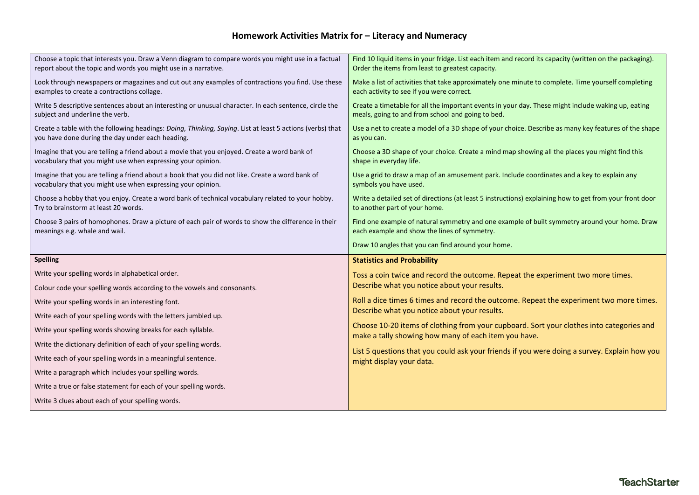## **Homework Activities Matrix for – Literacy and Numeracy**

| Choose a topic that interests you. Draw a Venn diagram to compare words you might use in a factual<br>report about the topic and words you might use in a narrative. | Find 10 liquid items in your fridge. List each item and record its capacity (written on the packaging).<br>Order the items from least to greatest capacity. |  |
|----------------------------------------------------------------------------------------------------------------------------------------------------------------------|-------------------------------------------------------------------------------------------------------------------------------------------------------------|--|
| Look through newspapers or magazines and cut out any examples of contractions you find. Use these<br>examples to create a contractions collage.                      | Make a list of activities that take approximately one minute to complete. Time yourself completing<br>each activity to see if you were correct.             |  |
| Write 5 descriptive sentences about an interesting or unusual character. In each sentence, circle the<br>subject and underline the verb.                             | Create a timetable for all the important events in your day. These might include waking up, eating<br>meals, going to and from school and going to bed.     |  |
| Create a table with the following headings: Doing, Thinking, Saying. List at least 5 actions (verbs) that<br>you have done during the day under each heading.        | Use a net to create a model of a 3D shape of your choice. Describe as many key features of the shape<br>as you can.                                         |  |
| Imagine that you are telling a friend about a movie that you enjoyed. Create a word bank of<br>vocabulary that you might use when expressing your opinion.           | Choose a 3D shape of your choice. Create a mind map showing all the places you might find this<br>shape in everyday life.                                   |  |
| Imagine that you are telling a friend about a book that you did not like. Create a word bank of<br>vocabulary that you might use when expressing your opinion.       | Use a grid to draw a map of an amusement park. Include coordinates and a key to explain any<br>symbols you have used.                                       |  |
| Choose a hobby that you enjoy. Create a word bank of technical vocabulary related to your hobby.<br>Try to brainstorm at least 20 words.                             | Write a detailed set of directions (at least 5 instructions) explaining how to get from your front door<br>to another part of your home.                    |  |
| Choose 3 pairs of homophones. Draw a picture of each pair of words to show the difference in their                                                                   | Find one example of natural symmetry and one example of built symmetry around your home. Draw                                                               |  |
| meanings e.g. whale and wail.                                                                                                                                        | each example and show the lines of symmetry.                                                                                                                |  |
|                                                                                                                                                                      | Draw 10 angles that you can find around your home.                                                                                                          |  |
| <b>Spelling</b>                                                                                                                                                      | <b>Statistics and Probability</b>                                                                                                                           |  |
| Write your spelling words in alphabetical order.                                                                                                                     | Toss a coin twice and record the outcome. Repeat the experiment two more times.                                                                             |  |
| Colour code your spelling words according to the vowels and consonants.                                                                                              | Describe what you notice about your results.                                                                                                                |  |
| Write your spelling words in an interesting font.                                                                                                                    | Roll a dice times 6 times and record the outcome. Repeat the experiment two more times.                                                                     |  |
| Write each of your spelling words with the letters jumbled up.                                                                                                       | Describe what you notice about your results.                                                                                                                |  |
| Write your spelling words showing breaks for each syllable.                                                                                                          | Choose 10-20 items of clothing from your cupboard. Sort your clothes into categories and                                                                    |  |
| Write the dictionary definition of each of your spelling words.                                                                                                      | make a tally showing how many of each item you have.                                                                                                        |  |
| Write each of your spelling words in a meaningful sentence.                                                                                                          | List 5 questions that you could ask your friends if you were doing a survey. Explain how you<br>might display your data.                                    |  |
| Write a paragraph which includes your spelling words.                                                                                                                |                                                                                                                                                             |  |
| Write a true or false statement for each of your spelling words.                                                                                                     |                                                                                                                                                             |  |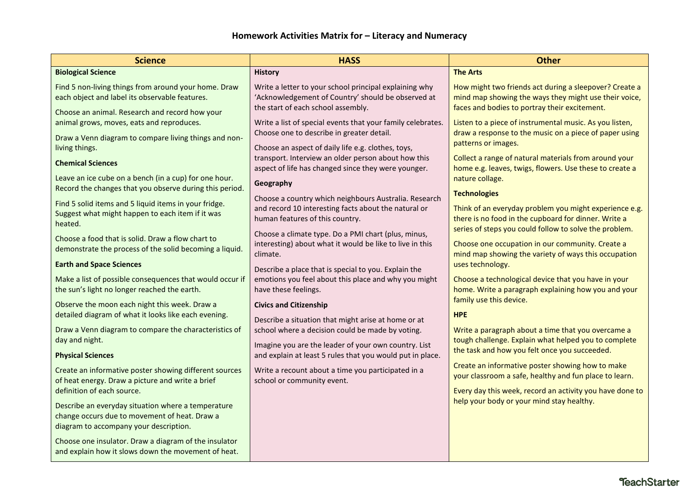| <b>Science</b>                                                                                                                                                         | <b>HASS</b>                                                                                                                                                    | <b>Other</b>                                                                                                                                                             |
|------------------------------------------------------------------------------------------------------------------------------------------------------------------------|----------------------------------------------------------------------------------------------------------------------------------------------------------------|--------------------------------------------------------------------------------------------------------------------------------------------------------------------------|
| <b>Biological Science</b>                                                                                                                                              | <b>History</b>                                                                                                                                                 | <b>The Arts</b>                                                                                                                                                          |
| Find 5 non-living things from around your home. Draw<br>each object and label its observable features.                                                                 | Write a letter to your school principal explaining why<br>'Acknowledgement of Country' should be observed at<br>the start of each school assembly.             | How might two friends act during a sleepover? Create a<br>mind map showing the ways they might use their voice,<br>faces and bodies to portray their excitement.         |
| Choose an animal. Research and record how your<br>animal grows, moves, eats and reproduces.<br>Draw a Venn diagram to compare living things and non-<br>living things. | Write a list of special events that your family celebrates.<br>Choose one to describe in greater detail.<br>Choose an aspect of daily life e.g. clothes, toys, | Listen to a piece of instrumental music. As you listen,<br>draw a response to the music on a piece of paper using<br>patterns or images.                                 |
| <b>Chemical Sciences</b><br>Leave an ice cube on a bench (in a cup) for one hour.                                                                                      | transport. Interview an older person about how this<br>aspect of life has changed since they were younger.<br>Geography                                        | Collect a range of natural materials from around your<br>home e.g. leaves, twigs, flowers. Use these to create a<br>nature collage.                                      |
| Record the changes that you observe during this period.                                                                                                                | Choose a country which neighbours Australia. Research                                                                                                          | <b>Technologies</b>                                                                                                                                                      |
| Find 5 solid items and 5 liquid items in your fridge.<br>Suggest what might happen to each item if it was<br>heated.                                                   | and record 10 interesting facts about the natural or<br>human features of this country.                                                                        | Think of an everyday problem you might experience e.g.<br>there is no food in the cupboard for dinner. Write a<br>series of steps you could follow to solve the problem. |
| Choose a food that is solid. Draw a flow chart to<br>demonstrate the process of the solid becoming a liquid.                                                           | Choose a climate type. Do a PMI chart (plus, minus,<br>interesting) about what it would be like to live in this<br>climate.                                    | Choose one occupation in our community. Create a<br>mind map showing the variety of ways this occupation                                                                 |
| <b>Earth and Space Sciences</b>                                                                                                                                        | Describe a place that is special to you. Explain the                                                                                                           | uses technology.                                                                                                                                                         |
| Make a list of possible consequences that would occur if<br>the sun's light no longer reached the earth.                                                               | emotions you feel about this place and why you might<br>have these feelings.                                                                                   | Choose a technological device that you have in your<br>home. Write a paragraph explaining how you and your                                                               |
| Observe the moon each night this week. Draw a<br>detailed diagram of what it looks like each evening.                                                                  | <b>Civics and Citizenship</b><br>Describe a situation that might arise at home or at                                                                           | family use this device.<br><b>HPE</b>                                                                                                                                    |
| Draw a Venn diagram to compare the characteristics of<br>day and night.                                                                                                | school where a decision could be made by voting.<br>Imagine you are the leader of your own country. List                                                       | Write a paragraph about a time that you overcame a<br>tough challenge. Explain what helped you to complete<br>the task and how you felt once you succeeded.              |
| <b>Physical Sciences</b>                                                                                                                                               | and explain at least 5 rules that you would put in place.                                                                                                      |                                                                                                                                                                          |
| Create an informative poster showing different sources<br>of heat energy. Draw a picture and write a brief                                                             | Write a recount about a time you participated in a<br>school or community event.                                                                               | Create an informative poster showing how to make<br>your classroom a safe, healthy and fun place to learn.                                                               |
| definition of each source.<br>Describe an everyday situation where a temperature                                                                                       |                                                                                                                                                                | Every day this week, record an activity you have done to<br>help your body or your mind stay healthy.                                                                    |
| change occurs due to movement of heat. Draw a<br>diagram to accompany your description.                                                                                |                                                                                                                                                                |                                                                                                                                                                          |
| Choose one insulator. Draw a diagram of the insulator<br>and explain how it slows down the movement of heat.                                                           |                                                                                                                                                                |                                                                                                                                                                          |